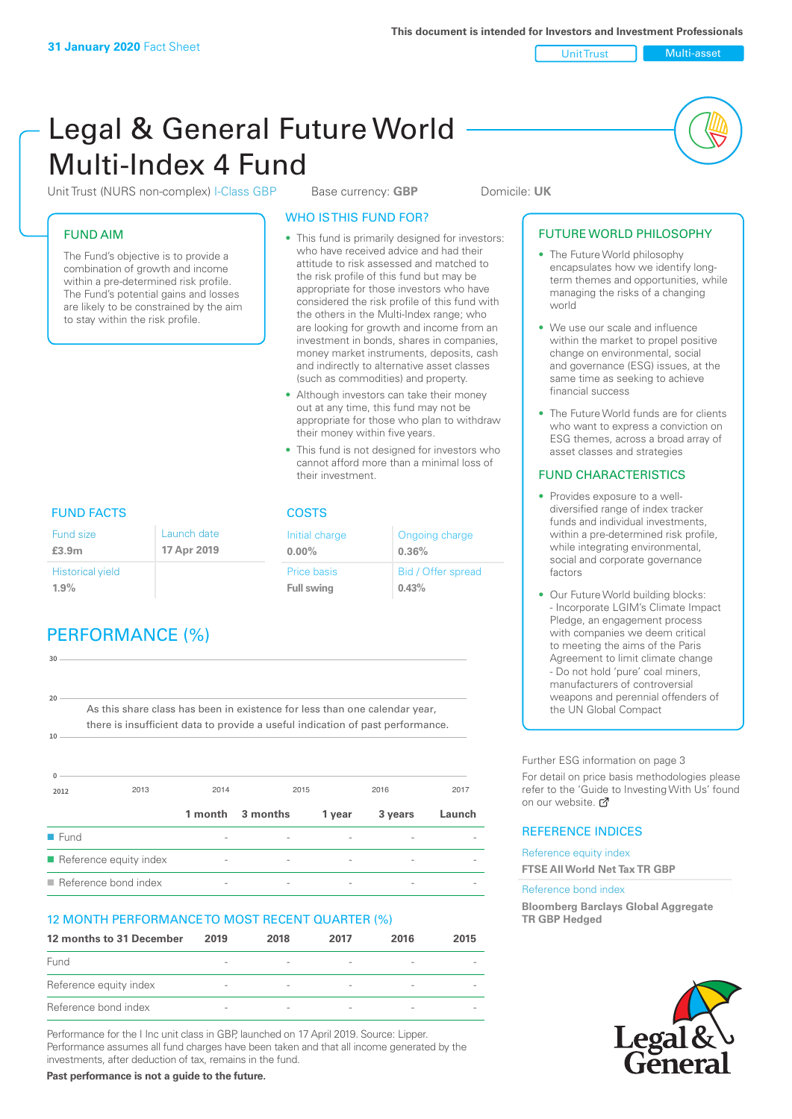Unit Trust Multi-asset

# Legal & General Future World Multi-Index 4 Fund

Unit Trust (NURS non-complex) I-Class GBP Base currency: **GBP** Domicile: UK

### FUND AIM

The Fund's objective is to provide a combination of growth and income within a pre-determined risk profile. The Fund's potential gains and losses are likely to be constrained by the aim to stay within the risk profile.

### WHO IS THIS FUND FOR?

- This fund is primarily designed for investors: who have received advice and had their attitude to risk assessed and matched to the risk profile of this fund but may be appropriate for those investors who have considered the risk profile of this fund with the others in the Multi-Index range; who are looking for growth and income from an investment in bonds, shares in companies, money market instruments, deposits, cash and indirectly to alternative asset classes (such as commodities) and property.
- Although investors can take their money out at any time, this fund may not be appropriate for those who plan to withdraw their money within five years.
- This fund is not designed for investors who cannot afford more than a minimal loss of their investment.

Ongoing charge

Bid / Offer spread

**0.36%**

**0.43%**

Initial charge **0.00%**

Price basis **Full swing**

# FUND FACTS COSTS

| Fund size<br>£3.9 <sub>m</sub> | Launch date<br>17 Apr 2019 |
|--------------------------------|----------------------------|
| <b>Historical yield</b>        |                            |
| 1.9%                           |                            |

# PERFORMANCE (%)

| 30                    |                                                                                                                                                              |         |                          |                          |         |        |
|-----------------------|--------------------------------------------------------------------------------------------------------------------------------------------------------------|---------|--------------------------|--------------------------|---------|--------|
| 20<br>10 <sup>1</sup> | As this share class has been in existence for less than one calendar year,<br>there is insufficient data to provide a useful indication of past performance. |         |                          |                          |         |        |
| 2012                  | 2013                                                                                                                                                         | 2014    |                          | 2015                     | 2016    | 2017   |
|                       |                                                                                                                                                              | 1 month | 3 months                 | 1 year                   | 3 years | Launch |
| $\blacksquare$ Fund   |                                                                                                                                                              |         |                          |                          |         |        |
|                       | $\blacksquare$ Reference equity index                                                                                                                        |         | $\overline{\phantom{a}}$ | $\overline{\phantom{a}}$ |         |        |

 $\blacksquare$  Reference bond index

### 12 MONTH PERFORMANCE TO MOST RECENT QUARTER (%)

| 12 months to 31 December | 2019                     | 2018                     | 2017                     | 2016                     | 2015 |
|--------------------------|--------------------------|--------------------------|--------------------------|--------------------------|------|
| Fund                     |                          |                          | $\overline{\phantom{a}}$ |                          |      |
| Reference equity index   | $\overline{\phantom{a}}$ | $\overline{\phantom{a}}$ | $\qquad \qquad$          | $\overline{\phantom{a}}$ |      |
| Reference bond index     | $\overline{\phantom{a}}$ |                          | $\qquad \qquad$          |                          |      |

Performance for the I Inc unit class in GBP, launched on 17 April 2019. Source: Lipper. Performance assumes all fund charges have been taken and that all income generated by the investments, after deduction of tax, remains in the fund.

**Past performance is not a guide to the future.**

### • The Future World philosophy encapsulates how we identify longterm themes and opportunities, while managing the risks of a changing world

• We use our scale and influence within the market to propel positive change on environmental, social and governance (ESG) issues, at the same time as seeking to achieve financial success

FUTURE WORLD PHILOSOPHY

• The Future World funds are for clients who want to express a conviction on ESG themes, across a broad array of asset classes and strategies

### FUND CHARACTERISTICS

- Provides exposure to a welldiversified range of index tracker funds and individual investments, within a pre-determined risk profile while integrating environmental, social and corporate governance factors
- Our Future World building blocks: - Incorporate LGIM's Climate Impact Pledge, an engagement process with companies we deem critical to meeting the aims of the Paris Agreement to limit climate change - Do not hold 'pure' coal miners, manufacturers of controversial weapons and perennial offenders of the UN Global Compact

Further ESG information on page 3

For detail on price basis methodologies please refer to the 'Guide to Investing With Us' found on our website. a

### REFERENCE INDICES

Reference equity index **FTSE All World Net Tax TR GBP**

#### Reference bond index

**Bloomberg Barclays Global Aggregate TR GBP Hedged**

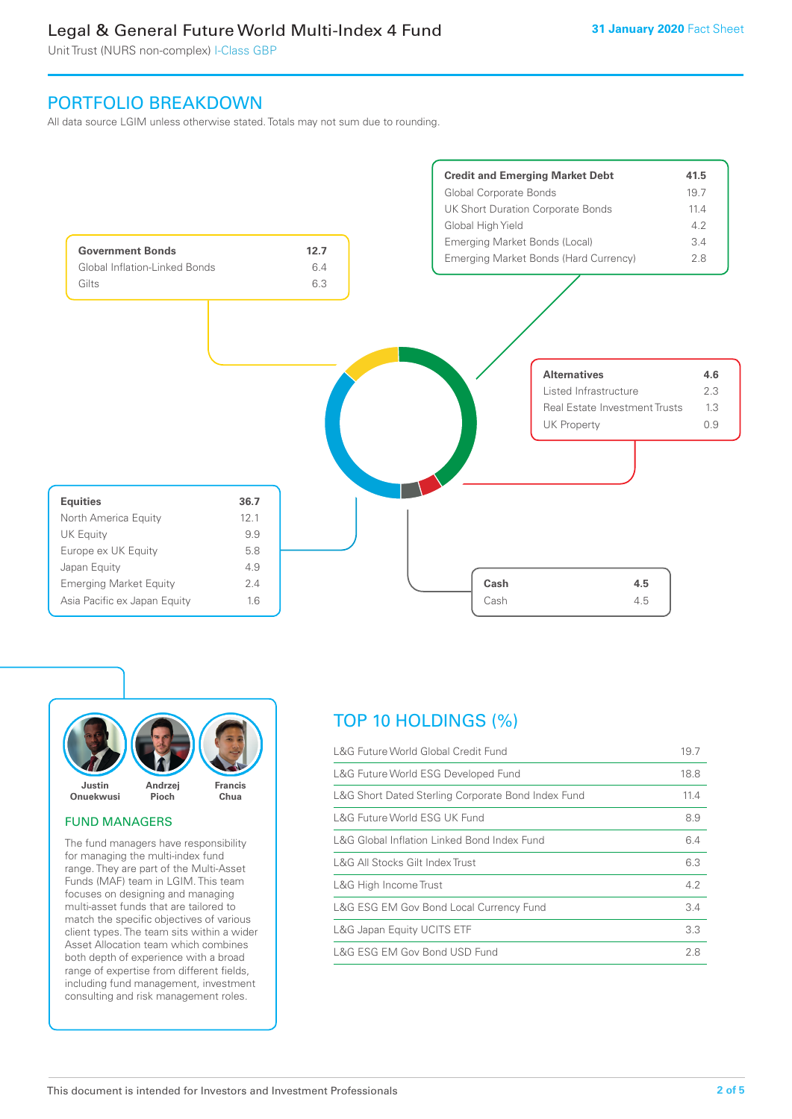### Legal & General Future World Multi-Index 4 Fund

Unit Trust (NURS non-complex) I-Class GBP

### PORTFOLIO BREAKDOWN

All data source LGIM unless otherwise stated. Totals may not sum due to rounding.





#### FUND MANAGERS

The fund managers have responsibility for managing the multi-index fund range. They are part of the Multi-Asset Funds (MAF) team in LGIM. This team focuses on designing and managing multi-asset funds that are tailored to match the specific objectives of various client types. The team sits within a wider Asset Allocation team which combines both depth of experience with a broad range of expertise from different fields, including fund management, investment consulting and risk management roles.

# TOP 10 HOLDINGS (%)

| L&G Future World Global Credit Fund                | 19.7 |
|----------------------------------------------------|------|
| L&G Future World ESG Developed Fund                | 18.8 |
| L&G Short Dated Sterling Corporate Bond Index Fund | 11.4 |
| L&G Future World ESG UK Fund                       | 8.9  |
| L&G Global Inflation Linked Bond Index Fund        | 6.4  |
| L&G All Stocks Gilt Index Trust                    | 6.3  |
| L&G High Income Trust                              | 4.2  |
| L&G ESG EM Gov Bond Local Currency Fund            | 3.4  |
| L&G Japan Equity UCITS ETF                         | 3.3  |
| L&G ESG EM Gov Bond USD Fund                       | 2.8  |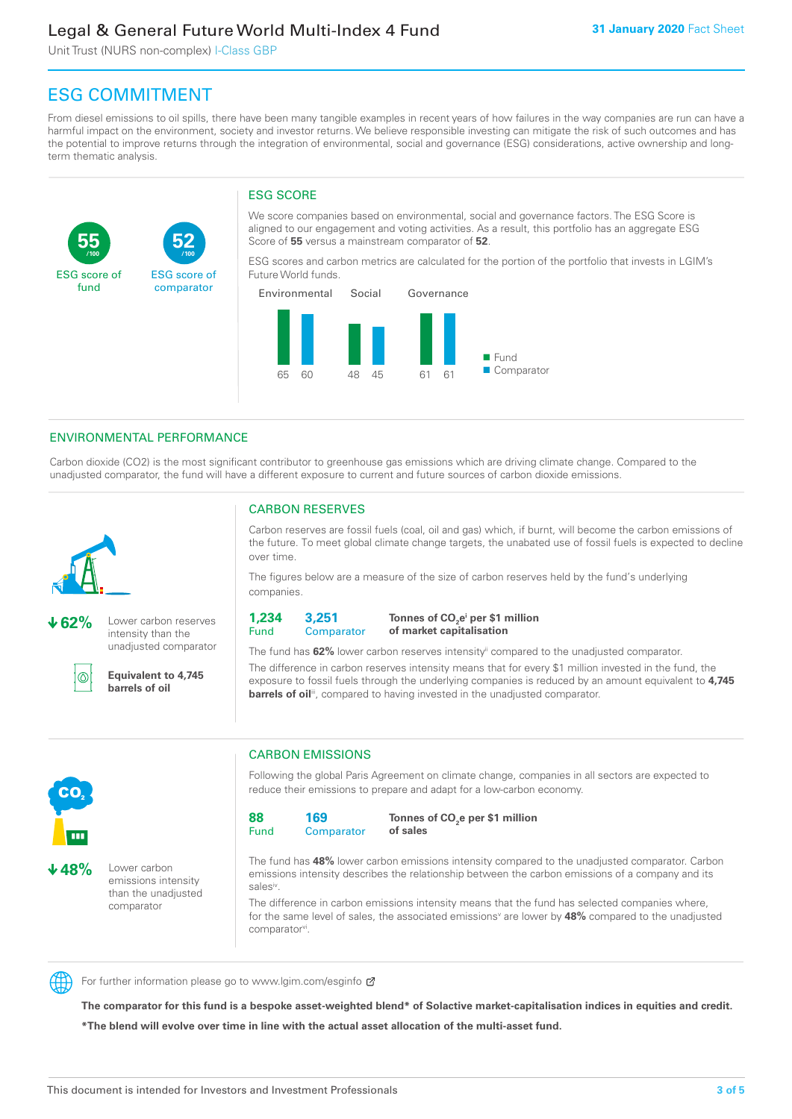### Legal & General Future World Multi-Index 4 Fund

Unit Trust (NURS non-complex) I-Class GBP

**52**

ESG score of comparator

# ESG COMMITMENT

**/100 /100**

From diesel emissions to oil spills, there have been many tangible examples in recent years of how failures in the way companies are run can have a harmful impact on the environment, society and investor returns. We believe responsible investing can mitigate the risk of such outcomes and has the potential to improve returns through the integration of environmental, social and governance (ESG) considerations, active ownership and longterm thematic analysis.

### ESG SCORE

We score companies based on environmental, social and governance factors. The ESG Score is aligned to our engagement and voting activities. As a result, this portfolio has an aggregate ESG Score of **55** versus a mainstream comparator of **52**.

ESG scores and carbon metrics are calculated for the portion of the portfolio that invests in LGIM's Future World funds.



### ENVIRONMENTAL PERFORMANCE

Carbon dioxide (CO2) is the most significant contributor to greenhouse gas emissions which are driving climate change. Compared to the unadjusted comparator, the fund will have a different exposure to current and future sources of carbon dioxide emissions.



**55**

ESG score of fund

**62%** Lower carbon reserves intensity than the unadjusted comparator

൹

**Equivalent to 4,745 barrels of oil**

### CARBON RESERVES

Carbon reserves are fossil fuels (coal, oil and gas) which, if burnt, will become the carbon emissions of the future. To meet global climate change targets, the unabated use of fossil fuels is expected to decline over time.

The figures below are a measure of the size of carbon reserves held by the fund's underlying companies.

**1,234** Fund **3,251 Comparator** 

**Tonnes of CO2 ei per \$1 million of market capitalisation**

The fund has **62%** lower carbon reserves intensityii compared to the unadjusted comparator. The difference in carbon reserves intensity means that for every \$1 million invested in the fund, the exposure to fossil fuels through the underlying companies is reduced by an amount equivalent to **4,745 barrels of oil**<sup>iii</sup>, compared to having invested in the unadjusted comparator.



**48%** Lower carbon emissions intensity than the unadjusted comparator

### CARBON EMISSIONS

Following the global Paris Agreement on climate change, companies in all sectors are expected to reduce their emissions to prepare and adapt for a low-carbon economy.

**88** Fund **169 Comparator** 

**Tonnes of CO2 e per \$1 million of sales**

The fund has **48%** lower carbon emissions intensity compared to the unadjusted comparator. Carbon emissions intensity describes the relationship between the carbon emissions of a company and its salesiv

The difference in carbon emissions intensity means that the fund has selected companies where, for the same level of sales, the associated emissions<sup>v</sup> are lower by 48% compared to the unadjusted comparator<sup>vi</sup>.



For further information please go to www.lgim.com/esginfo Ø

**The comparator for this fund is a bespoke asset-weighted blend\* of Solactive market-capitalisation indices in equities and credit. \*The blend will evolve over time in line with the actual asset allocation of the multi-asset fund.**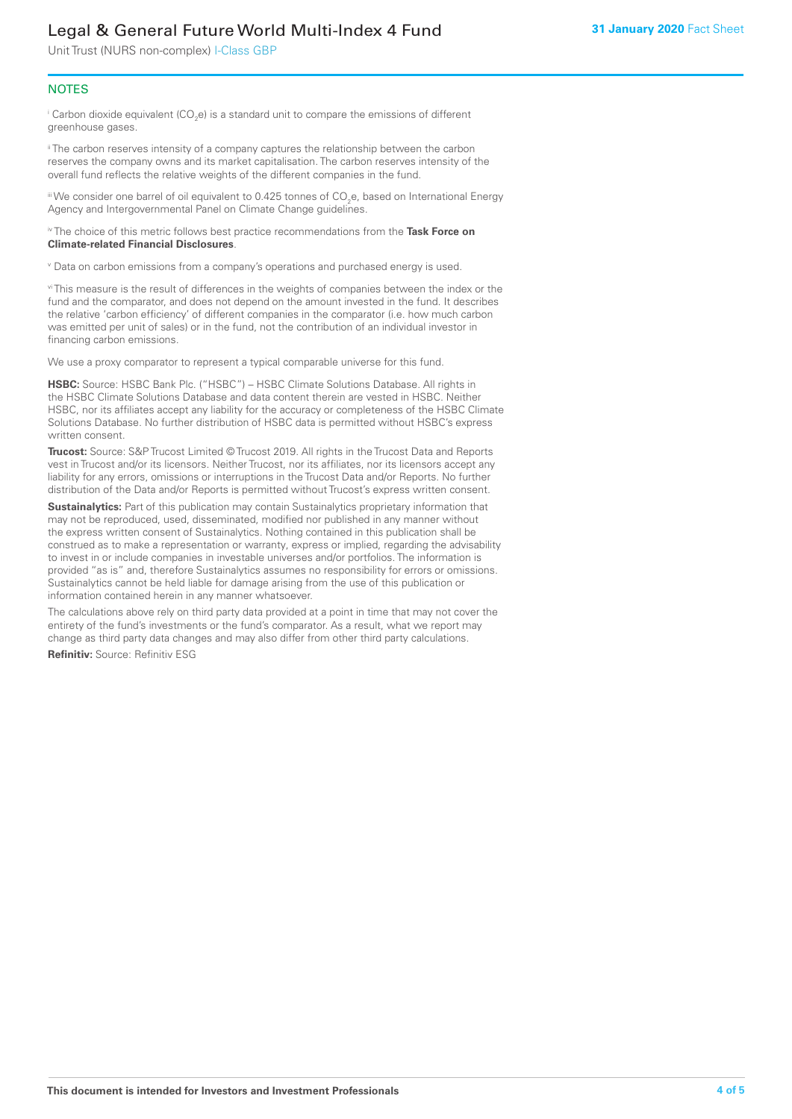## Legal & General Future World Multi-Index 4 Fund

Unit Trust (NURS non-complex) I-Class GBP

### **NOTES**

 $^\mathrm{i}$  Carbon dioxide equivalent (CO<sub>2</sub>e) is a standard unit to compare the emissions of different greenhouse gases.

<sup>ii</sup> The carbon reserves intensity of a company captures the relationship between the carbon reserves the company owns and its market capitalisation. The carbon reserves intensity of the overall fund reflects the relative weights of the different companies in the fund.

iii We consider one barrel of oil equivalent to 0.425 tonnes of CO<sub>2</sub>e, based on International Energy Agency and Intergovernmental Panel on Climate Change guidelines.

#### iv The choice of this metric follows best practice recommendations from the **Task Force on Climate-related Financial Disclosures**.

v Data on carbon emissions from a company's operations and purchased energy is used.

vi This measure is the result of differences in the weights of companies between the index or the fund and the comparator, and does not depend on the amount invested in the fund. It describes the relative 'carbon efficiency' of different companies in the comparator (i.e. how much carbon was emitted per unit of sales) or in the fund, not the contribution of an individual investor in financing carbon emissions.

We use a proxy comparator to represent a typical comparable universe for this fund.

**HSBC:** Source: HSBC Bank Plc. ("HSBC") – HSBC Climate Solutions Database. All rights in the HSBC Climate Solutions Database and data content therein are vested in HSBC. Neither HSBC, nor its affiliates accept any liability for the accuracy or completeness of the HSBC Climate Solutions Database. No further distribution of HSBC data is permitted without HSBC's express written consent.

**Trucost:** Source: S&P Trucost Limited © Trucost 2019. All rights in the Trucost Data and Reports vest in Trucost and/or its licensors. Neither Trucost, nor its affiliates, nor its licensors accept any liability for any errors, omissions or interruptions in the Trucost Data and/or Reports. No further distribution of the Data and/or Reports is permitted without Trucost's express written consent.

**Sustainalytics:** Part of this publication may contain Sustainalytics proprietary information that may not be reproduced, used, disseminated, modified nor published in any manner without the express written consent of Sustainalytics. Nothing contained in this publication shall be construed as to make a representation or warranty, express or implied, regarding the advisability to invest in or include companies in investable universes and/or portfolios. The information is provided "as is" and, therefore Sustainalytics assumes no responsibility for errors or omissions. Sustainalytics cannot be held liable for damage arising from the use of this publication or information contained herein in any manner whatsoever.

The calculations above rely on third party data provided at a point in time that may not cover the entirety of the fund's investments or the fund's comparator. As a result, what we report may change as third party data changes and may also differ from other third party calculations.

**Refinitiv:** Source: Refinitiv ESG